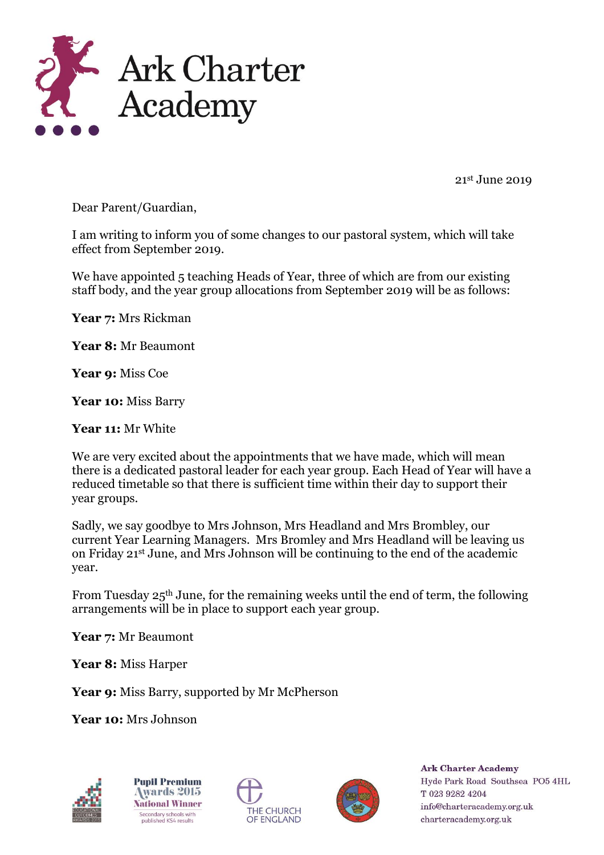

21st June 2019

Dear Parent/Guardian,

I am writing to inform you of some changes to our pastoral system, which will take effect from September 2019.

We have appointed 5 teaching Heads of Year, three of which are from our existing staff body, and the year group allocations from September 2019 will be as follows:

**Year 7:** Mrs Rickman

**Year 8:** Mr Beaumont

**Year 9:** Miss Coe

**Year 10:** Miss Barry

**Year 11:** Mr White

We are very excited about the appointments that we have made, which will mean there is a dedicated pastoral leader for each year group. Each Head of Year will have a reduced timetable so that there is sufficient time within their day to support their year groups.

Sadly, we say goodbye to Mrs Johnson, Mrs Headland and Mrs Brombley, our current Year Learning Managers. Mrs Bromley and Mrs Headland will be leaving us on Friday 21st June, and Mrs Johnson will be continuing to the end of the academic year.

From Tuesday 25th June, for the remaining weeks until the end of term, the following arrangements will be in place to support each year group.

**Year 7:** Mr Beaumont

**Year 8:** Miss Harper

Year 9: Miss Barry, supported by Mr McPherson

**Year 10:** Mrs Johnson



**Pupil Premium Awards 2015 National Winner** Secondary schools with<br>published KS4 results





**Ark Charter Academy** Hyde Park Road Southsea PO5 4HL T 023 9282 4204 info@charteracademy.org.uk charteracademy.org.uk